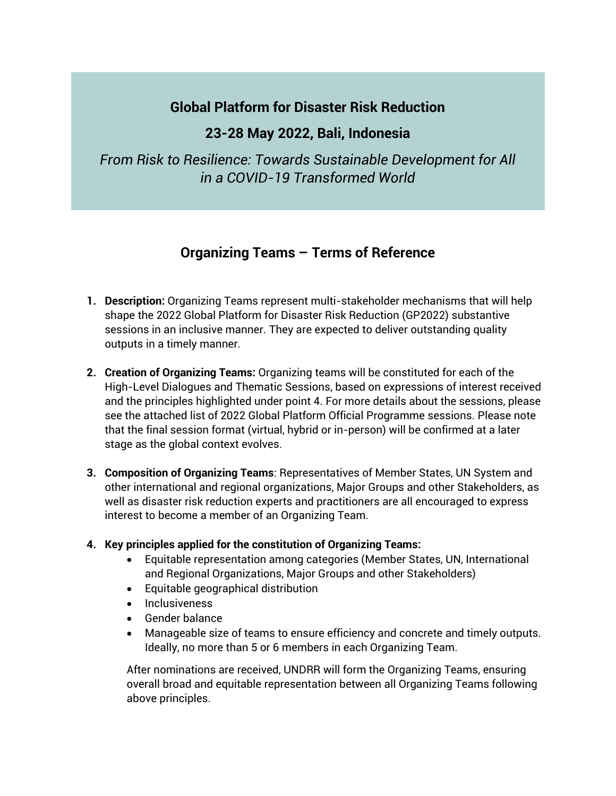# **Global Platform for Disaster Risk Reduction**

## **23-28 May 2022, Bali, Indonesia**

*From Risk to Resilience: Towards Sustainable Development for All in a COVID-19 Transformed World*

# **Organizing Teams – Terms of Reference**

- **1. Description:** Organizing Teams represent multi-stakeholder mechanisms that will help shape the 2022 Global Platform for Disaster Risk Reduction (GP2022) substantive sessions in an inclusive manner. They are expected to deliver outstanding quality outputs in a timely manner.
- **2. Creation of Organizing Teams:** Organizing teams will be constituted for each of the High-Level Dialogues and Thematic Sessions, based on expressions of interest received and the principles highlighted under point 4. For more details about the sessions, please see the attached list of 2022 Global Platform Official Programme sessions. Please note that the final session format (virtual, hybrid or in-person) will be confirmed at a later stage as the global context evolves.
- **3. Composition of Organizing Teams**: Representatives of Member States, UN System and other international and regional organizations, Major Groups and other Stakeholders, as well as disaster risk reduction experts and practitioners are all encouraged to express interest to become a member of an Organizing Team.

#### **4. Key principles applied for the constitution of Organizing Teams:**

- Equitable representation among categories (Member States, UN, International and Regional Organizations, Major Groups and other Stakeholders)
- Equitable geographical distribution
- Inclusiveness
- Gender balance
- Manageable size of teams to ensure efficiency and concrete and timely outputs. Ideally, no more than 5 or 6 members in each Organizing Team.

After nominations are received, UNDRR will form the Organizing Teams, ensuring overall broad and equitable representation between all Organizing Teams following above principles.